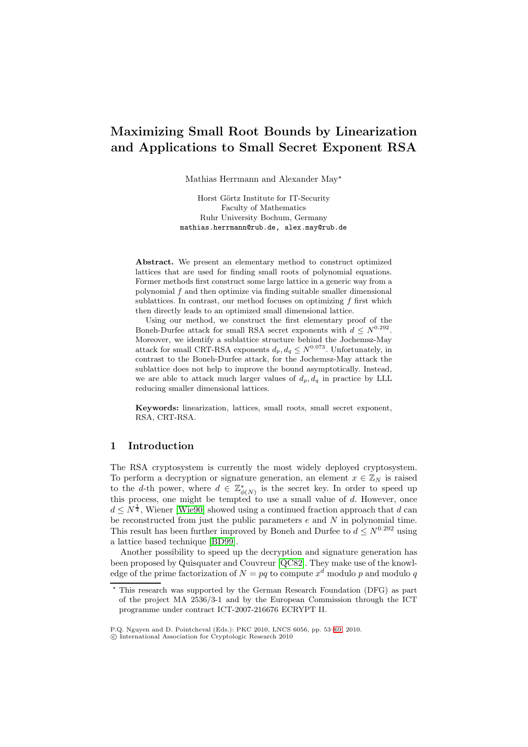# **Maximizing Small Root Bounds by Linearization and Applications to Small Secret Exponent RSA**

Mathias Herrmann and Alexander May<sup>\*</sup>

Horst Görtz Institute for IT-Security Faculty of Mathematics Ruhr University Bochum, Germany mathias.herrmann@rub.de, alex.may@rub.de

**Abstract.** We present an elementary method to construct optimized lattices that are used for finding small roots of polynomial equations. Former methods first construct some large lattice in a generic way from a polynomial  $f$  and then optimize via finding suitable smaller dimensional sublattices. In contrast, our method focuses on optimizing f first which then directly leads to an optimized small dimensional lattice.

Using our method, we construct the first elementary proof of the Boneh-Durfee attack for small RSA secret exponents with  $d \leq N^{0.292}$ . Moreover, we identify a sublattice structure behind the Jochemsz-May attack for small CRT-RSA exponents  $d_p, d_q \leq N^{0.073}$ . Unfortunately, in contrast to the Boneh-Durfee attack, for the Jochemsz-May attack the sublattice does not help to improve the bound asymptotically. Instead, we are able to attack much larger values of  $d_p, d_q$  in practice by LLL reducing smaller dimensional lattices.

**Keywords:** linearization, lattices, small roots, small secret exponent, RSA, CRT-RSA.

## **1 Introduction**

The RSA cryptosystem is currently the most widely deployed cryptosystem. To perform a decryption or signature generation, an element  $x \in \mathbb{Z}_N$  is raised to the d-th power, where  $d \in \mathbb{Z}_{\phi(N)}^*$  is the secret key. In order to speed up this process, one might be tempted to use a small value of  $d$ . However, once  $d \leq N^{\frac{1}{4}}$ , Wiener [Wie90] showed using a continued fraction approach that d can be reconstructed from just the public parameters  $e$  and  $N$  in polynomial time. This result has been further improved by Boneh and Durfee to  $d \leq N^{0.292}$  using a lattice based technique [BD99].

Another possi[bility to](#page-13-0) speed up the decryption and signature generation has been proposed by Quisquater and Couvreur [QC82]. They make use of the knowledge of the prime factorization of  $N = pq$  to compute  $x^d$  modulo p and modulo q

<sup>-</sup> This research was suppo[rted](#page-13-1) [by](#page-13-1) the German Research Foundation (DFG) as part of the project MA 2536/3-1 and by the European Commission through the ICT programme under contract ICT-2007-216676 [ECRY](#page-13-2)PT II.

P.Q. Nguyen and D. Pointcheval (Eds.): PKC 2010, LNCS 6056, pp. 53–69, 2010.

c International Association for Cryptologic Research 2010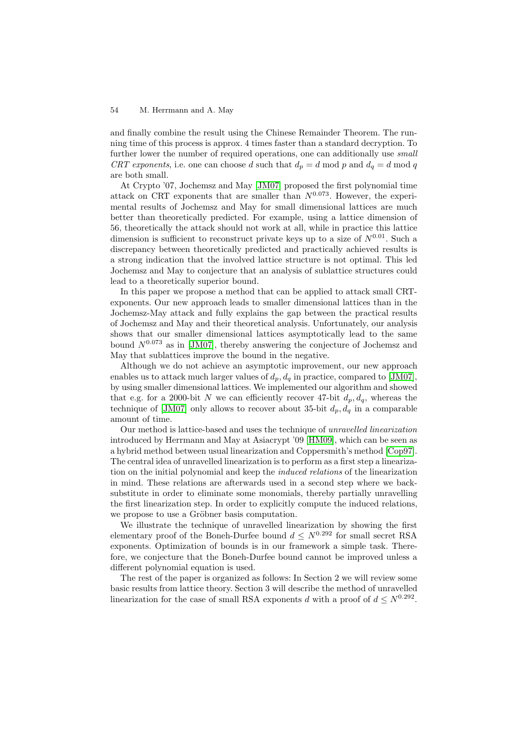and finally combine the result using the Chinese Remainder Theorem. The running time of this process is approx. 4 times faster than a standard decryption. To further lower the number of required operations, one can additionally use *small CRT exponents*, i.e. one can choose d such that  $d_p = d \mod p$  and  $d_q = d \mod q$ are both small.

At Crypto '07, Jochemsz and May [JM07] proposed the first polynomial time attack on CRT exponents that are smaller than  $N^{0.073}$ . However, the experimental results of Jochemsz and May for small dimensional lattices are much better than theoretically predicted. For example, using a lattice dimension of 56, theoretically the attack should no[t work](#page-13-3) at all, while in practice this lattice dimension is sufficient to reconstruct private keys up to a size of  $N^{0.01}$ . Such a discrepancy between theoretically predicted and practically achieved results is a strong indication that the involved lattice structure is not optimal. This led Jochemsz and May to conjecture that an analysis of sublattice structures could lead to a theoretically superior bound.

In this paper we propose a method that can be applied to attack small CRTexponents. Our new approach leads to smaller dimensional lattices than in the Jochemsz-May attack and fully explains the gap between the practical results of Jochemsz and May and their theoretical analysis. Unfortunately, our analysis shows that our smaller dimensional lattices asymptotically lead to the same bound  $N^{0.073}$  as in [JM07], thereby answering the conjecture of Jochemsz and May that sublattices improve the bound in the negative.

Although we do not achieve an asymptotic improvement, our new approach enables us to attack much larger values of  $d_p$ ,  $d_q$  in practice, compared to [JM07], by using smaller dim[ensiona](#page-13-3)l lattices. We implemented our algorithm and showed that e.g. for a 2000-bit N we can efficiently recover 47-bit  $d_p, d_q$ , whereas the technique of [JM07] only allows to recover about 35-bit  $d_p, d_q$  in a comparable amount of time.

Our method is lattice-based and uses the technique of *unravelled linearization* introduced by Herrmann and May at Asiacrypt '09 [HM09], which can be seen as a hybrid met[hod bet](#page-13-3)ween usual linearization and Coppersmith's method [Cop97]. The central idea of unravelled linearization is to perform as a first step a linearization on the initial polynomial and keep the *induced relations* of the linearization in mind. These relations are afterwards used in a [second](#page-13-4) step where we backsubstitute in order to eliminate some monomials, thereby partially un[ravelling](#page-13-5) the first linearization step. In order to explicitly compute the induced relations, we propose to use a Gröbner basis computation.

We illustrate the technique of unravelled linearization by showing the first elementary proof of the Boneh-Durfee bound  $d \leq N^{0.292}$  for small secret RSA exponents. Optimization of bounds is in our framework a simple task. Therefore, we conjecture that the Boneh-Durfee bound cannot be improved unless a different polynomial equation is used.

The rest of the paper is organized as follows: In Section 2 we will review some basic results from lattice theory. Section 3 will describe the method of unravelled linearization for the case of small RSA exponents d with a proof of  $d \leq N^{0.292}$ .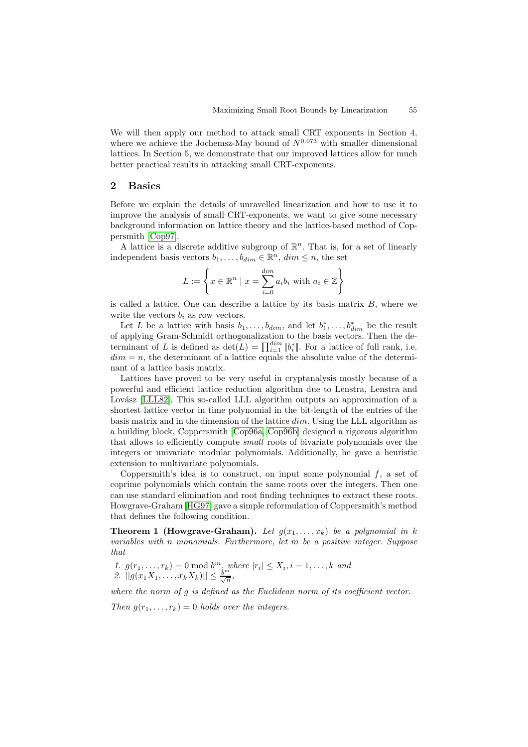We will then apply our method to attack small CRT exponents in Section 4, where we achieve the Jochemsz-May bound of  $N^{0.073}$  with smaller dimensional lattices. In Section 5, we demonstrate that our improved lattices allow for much better practical results in attacking small CRT-exponents.

## **2 Basics**

Before we explain the details of unravelled linearization and how to use it to improve the analysis of small CRT-exponents, we want to give some necessary background information on lattice theory and the lattice-based method of Coppersmith [Cop97].

A lattice is a discrete additive subgroup of  $\mathbb{R}^n$ . That is, for a set of linearly independent basis vectors  $b_1, \ldots, b_{dim} \in \mathbb{R}^n$ ,  $dim \leq n$ , the set

$$
L := \left\{ x \in \mathbb{R}^n \mid x = \sum_{i=0}^{\dim} a_i b_i \text{ with } a_i \in \mathbb{Z} \right\}
$$

is called a lattice. One can describe a lattice by its basis matrix  $B$ , where we write the vectors  $b_i$  as row vectors.

Let L be a lattice with basis  $b_1, \ldots, b_{dim}$ , and let  $b_1^*, \ldots, b_{dim}^*$  be the result of applying Gram-Schmidt orthogonalization to the basis vectors. Then the determinant of L is defined as  $\det(L) = \prod_{i=1}^{dim} |b_i^*|$ . For a lattice of full rank, i.e.  $dim = n$ , the determinant of a lattice equals the absolute value of the determinant of a lattice basis matrix.

Lattices have proved to be very useful in cryptanalysis mostly because of a powerful and efficient lattice reduction algorithm due to Lenstra, Lenstra and Lovász [LLL82]. This so-called LLL algorithm outputs an approximation of a shortest lattice vector in time polynomial in the bit-length of the entries of the basis matrix and in the dimension of the lattice dim. Using the LLL algorithm as a building block, Coppersmith [Cop96a, Cop96b] designed a rigorous algorithm that all[ows to e](#page-13-6)fficiently compute *small* roots of bivariate polynomials over the integers or univariate modular polynomials. Additionally, he gave a heuristic extension to multivariate polynomials.

Coppersmith's idea is to co[nstruct,](#page-13-7) [on input](#page-13-8) some polynomial  $f$ , a set of coprime polynomials which contain the same roots over the integers. Then one can use standard elimination and root finding techniques to extract these roots. Howgrave-Graham [HG97] gave a simple reformulation of Coppersmith's method that defines the following condition.

**Theorem 1 (Howgrave-Graham).** Let  $g(x_1, \ldots, x_k)$  be a polynomial in k *variables with* n *monomials. Furthermore, let* m *be a positive integer. Suppose that*

1. 
$$
g(r_1, ..., r_k) = 0 \mod b^m
$$
, where  $|r_i| \le X_i$ ,  $i = 1, ..., k$  and  
2.  $||g(x_1X_1, ..., x_kX_k)|| \le \frac{b^m}{\sqrt{n}}$ ,

*where the norm of* g *is defined as the Euclidean norm of its coefficient vector.*

*Then*  $g(r_1, \ldots, r_k) = 0$  *holds over the integers.*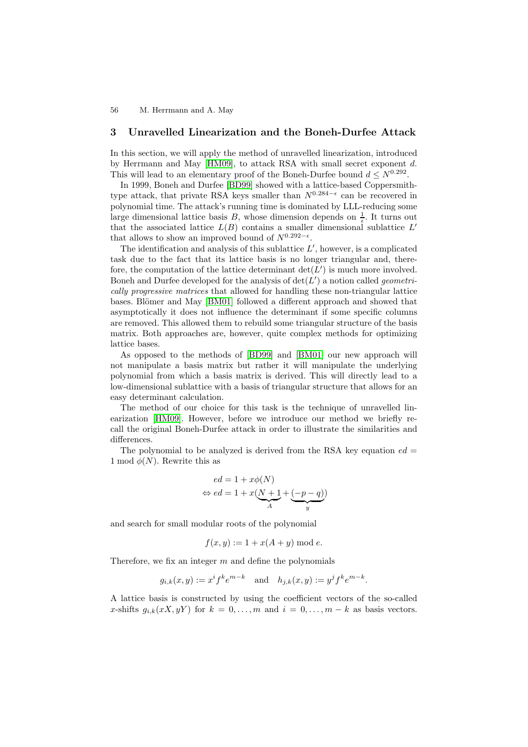### **3 Unravelled Linearization and the Boneh-Durfee Attack**

<span id="page-3-0"></span>In this section, we will apply the method of unravelled linearization, introduced by Herrmann and May [HM09], to attack RSA with small secret exponent d. This will lead to an elementary proof of the Boneh-Durfee bound  $d \leq N^{0.292}$ .

In 1999, Boneh and Durfee [BD99] showed with a lattice-based Coppersmithtype attack, that private RSA keys smaller than  $N^{0.284-\epsilon}$  can be recovered in polynomial time. The att[ack's ru](#page-13-4)nning time is dominated by LLL-reducing some large dimensional lattice basis B, whose dimension depends on  $\frac{1}{\epsilon}$ . It turns out that the associated lattice  $L(B)$  contains a smaller dimensional sublattice  $L'$ that allows to show an improved bound of  $N^{0.292-\epsilon}$ .

The identification and analysis of this sublattice  $L'$ , however, is a complicated task due to the fact that its lattice basis is no longer triangular and, therefore, the computation of the lattice determinant  $\det(L')$  is much more involved. Boneh and Durfee developed for the analysis of  $\det(L')$  a notion called *geometrically progressive matrices* that allowed for handling these non-triangular lattice bases. Blömer and May [BM01] followed a different approach and showed that asymptotically it does not influence the determinant if some specific columns are removed. This allowed them to rebuild some triangular structure of the basis matrix. Both approaches are, however, quite complex methods for optimizing lattice bases.

As opposed to the methods of [BD99] and [BM01] our new approach will not manipulate a basis matrix but rather it will manipulate the underlying polynomial from which a basis matrix is derived. This will directly lead to a low-dimensional sublattice with a basis of triangular structure that allows for an easy determinant calculation.

The method of our choice for this task is the technique of unravelled linearization [HM09]. However, before we introduce our method we briefly recall the original Boneh-Durfee attack in order to illustrate the similarities and differences.

The polynomial to be analyzed is derived from the RSA key equation  $ed =$ 1 mod  $\phi(N)$ . Rewrite this as

$$
ed = 1 + x\phi(N)
$$
  

$$
\Leftrightarrow ed = 1 + x(\underbrace{N+1}_{A} + \underbrace{(-p-q)}_{y})
$$

and search for small modular roots of the polynomial

$$
f(x, y) := 1 + x(A + y) \bmod e.
$$

Therefore, we fix an integer  $m$  and define the polynomials

$$
g_{i,k}(x, y) := x^{i} f^{k} e^{m-k}
$$
 and  $h_{j,k}(x, y) := y^{j} f^{k} e^{m-k}$ .

A lattice basis is constructed by using the coefficient vectors of the so-called x-shifts  $g_{i,k}(xX, yY)$  for  $k = 0, \ldots, m$  and  $i = 0, \ldots, m - k$  as basis vectors.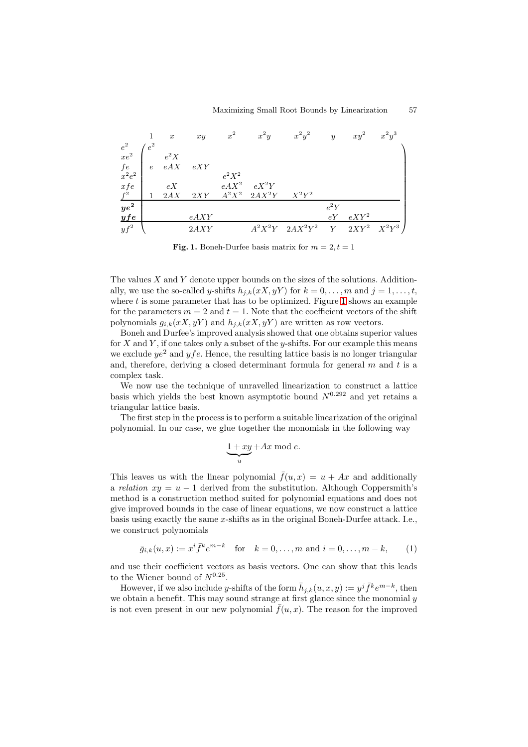

<span id="page-4-0"></span>**Fig. 1.** Boneh-Durfee basis matrix for  $m = 2, t = 1$ 

The values X and Y denote upper bounds on the sizes of the solutions. Additionally, we use the so-called y-shifts  $h_{j,k}(xX, yY)$  for  $k = 0, \ldots, m$  and  $j = 1, \ldots, t$ , where  $t$  is some parameter that has to be optimized. Figure 1 shows an example for the parameters  $m = 2$  and  $t = 1$ . Note that the coefficient vectors of the shift polynomials  $g_{i,k}(xX, yY)$  and  $h_{j,k}(xX, yY)$  are written as row vectors.

Boneh and Durfee's improved analysis showed that one obtains superior values for X and Y, if one takes only a subset of the y-shifts. For ou[r ex](#page-4-0)ample this means we exclude  $ye^2$  and  $yfe$ . Hence, the resulting lattice basis is no longer triangular and, therefore, deriving a closed determinant formula for general  $m$  and  $t$  is a complex task.

We now use the technique of unravelled linearization to construct a lattice basis which yields the best known asymptotic bound  $N^{0.292}$  and yet retains a triangular lattice basis.

The first step in the process is to perform a suitable linearization of the original polynomial. In our case, we glue together the monomials in the following way

$$
\underbrace{1+xy}_{u}+Ax \bmod e.
$$

This leaves us with the linear polynomial  $\bar{f}(u, x) = u + Ax$  and additionally a *relation*  $xy = u - 1$  derived from the substitution. Although Coppersmith's method is a construction method suited for polynomial equations and does not give improved bounds in the case of linear equations, we now construct a lattice basis using exactly the same x-shifts as in the original Boneh-Durfee attack. I.e., we construct polynomials

$$
\bar{g}_{i,k}(u,x) := x^{i} \bar{f}^{k} e^{m-k}
$$
 for  $k = 0, ..., m$  and  $i = 0, ..., m - k,$  (1)

and use their coefficient vectors as basis vectors. One can show that this leads to the Wiener bound of  $N^{0.25}$ .

However, if we also include y-shifts of the form  $\bar{h}_{j,k}(u, x, y) := y^j \bar{f}^k e^{m-k}$ , then we obtain a benefit. This may sound strange at first glance since the monomial  $y$ is not even present in our new polynomial  $\bar{f}(u, x)$ . The reason for the improved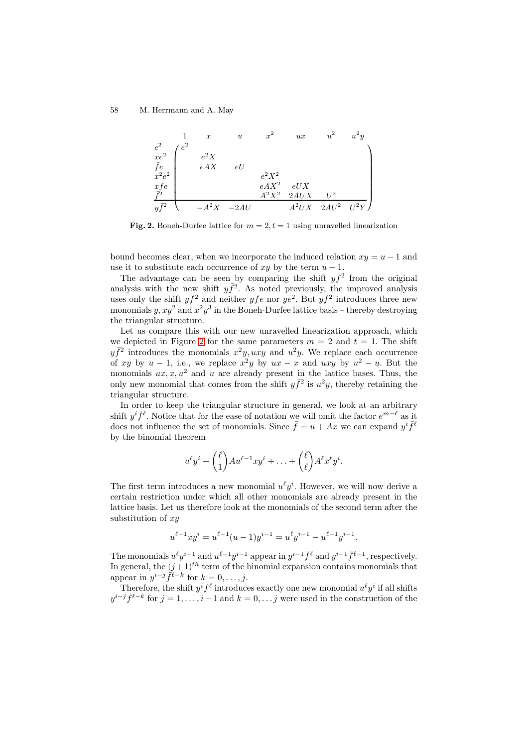

**Fig. 2.** Boneh-Durfee lattice for  $m = 2, t = 1$  using unravelled linearization

bound becomes clear, when we incorporate the induced relation  $xy = u - 1$  and use it to substitute each occurrence of xy by the term  $u - 1$ .

<span id="page-5-0"></span>The advantage can be seen by comparing the shift  $y f^2$  from the original analysis with the new shift  $y\bar{f}^2$ . As noted previously, the improved analysis uses only the shift  $y f^2$  and neither  $y f e$  nor  $y e^2$ . But  $y f^2$  introduces three new monomials y,  $xy^2$  and  $x^2y^3$  in the Boneh-Durfee lattice basis – thereby destroying the triangular structure.

Let us compare this with our new unravelled linearization approach, which we depicted in Figure 2 for the same parameters  $m = 2$  and  $t = 1$ . The shift  $y\bar{f}^2$  introduces the monomials  $x^2y, uxy$  and  $u^2y$ . We replace each occurrence of xy by u − 1, i.e., we replace  $x^2y$  by  $ux - x$  and  $uxy$  by  $u^2 - u$ . But the monomials  $ux, x, u^2$  and u are already present in the lattice bases. Thus, the only new monomial th[at](#page-5-0) comes from the shift  $y\bar{f}^2$  is  $u^2y$ , thereby retaining the triangular structure.

In order to keep the triangular structure in general, we look at an arbitrary shift  $y^{i} \bar{f}^{\ell}$ . Notice that for the ease of notation we will omit the factor  $e^{m-\ell}$  as it does not influence the set of monomials. Since  $\bar{f} = u + Ax$  we can expand  $y^{i} \bar{f}^{l}$ by the binomial theorem

$$
u^{\ell}y^{i} + {\ell \choose 1}Au^{\ell-1}xy^{i} + \ldots + {\ell \choose \ell}A^{\ell}x^{\ell}y^{i}.
$$

The first term introduces a new monomial  $u^{\ell}y^{i}$ . However, we will now derive a certain restriction under which all other monomials are already present in the lattice basis. Let us therefore look at the monomials of the second term after the substitution of  $xy$ 

$$
u^{\ell-1}xy^{i} = u^{\ell-1}(u-1)y^{i-1} = u^{\ell}y^{i-1} - u^{\ell-1}y^{i-1}.
$$

The monomials  $u^{\ell}y^{i-1}$  and  $u^{\ell-1}y^{i-1}$  appear in  $y^{i-1} \bar{f}^{\ell}$  and  $y^{i-1} \bar{f}^{\ell-1}$ , respectively. In general, the  $(j+1)^{th}$  term of the binomial expansion contains monomials that appear in  $y^{i-j} \tilde{f}^{\ell-k}$  for  $k = 0, \ldots, j$ .

Therefore, the shift  $y^i \bar{f}^{\ell}$  introduces exactly one new monomial  $u^{\ell}y^i$  if all shifts  $y^{i-j} \bar{f}^{\ell-k}$  for  $j = 1, \ldots, i-1$  and  $k = 0, \ldots, j$  were used in the construction of the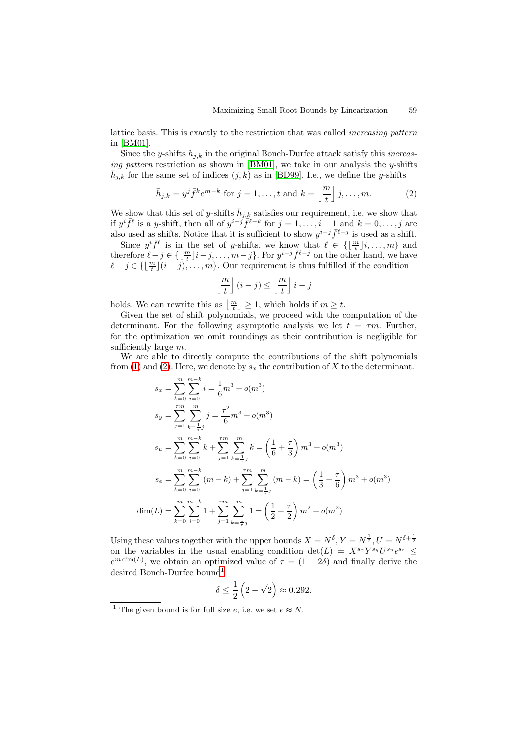lattice basis. This is exactly to the restriction that was called *increasing pattern* in [BM01].

Since the *y*-shifts  $h_{j,k}$  in the original Boneh-Durfee attack satisfy this *increasing pattern* restriction as shown in [BM01], we take in our analysis the y-shifts  $\bar{h}_{j,k}$  for the same set of indices  $(j, k)$  as in [BD99]. I.e., we define the y-shifts

$$
\bar{h}_{j,k} = y^j \bar{f}^k e^{m-k} \text{ for } j = 1, \dots, t \text{ and } k = \left\lfloor \frac{m}{t} \right\rfloor j, \dots, m. \tag{2}
$$

We show that this set of y-shifts  $\bar{h}_{j,k}$  [satisfi](#page-13-9)es our requirement, i.e. we show that if  $y^{i} \bar{f}^{\ell}$  is a y-shift, then all of  $y^{i-j} \bar{f}^{\ell-k}$  for  $j = 1, \ldots, i-1$  $j = 1, \ldots, i-1$  $j = 1, \ldots, i-1$  $j = 1, \ldots, i-1$  $j = 1, \ldots, i-1$  and  $k = 0, \ldots, j$  are also used as shifts. Notice that it is sufficient to show  $y^{i-j} \bar{f}^{\ell-j}$  is used as a shift.

Since  $y^i \bar{f}^{\ell}$  is in the set of y-shifts, we know that  $\ell \in \{\lfloor \frac{m}{t} \rfloor i, \ldots, m\}$  and therefore  $\ell - j \in \{\lfloor \frac{m}{t} \rfloor i - j, \ldots, m-j\}$ . For  $y^{i-j} \bar{f}^{\ell-j}$  on the other hand, we have  $\ell - j \in \{ \lfloor \frac{m}{t} \rfloor (i - j), \ldots, m \}.$  Our requirement is thus fulfilled if the condition

<span id="page-6-0"></span>
$$
\left\lfloor\frac{m}{t}\right\rfloor(i-j) \leq \left\lfloor\frac{m}{t}\right\rfloor i-j
$$

holds. We can rewrite this as  $\left\lfloor \frac{m}{t} \right\rfloor \geq 1$ , which holds if  $m \geq t$ .

Given the set of shift polynomials, we proceed with the computation of the determinant. For the following asymptotic analysis we let  $t = \tau m$ . Further, for the optimization we omit roundings as their contribution is negligible for sufficiently large  $m$ .

We are able to directly compute the contributions of the shift polynomials from (1) and (2). Here, we denote by  $s_x$  the contribution of X to the determinant.

$$
s_x = \sum_{k=0}^{m} \sum_{i=0}^{m-k} i = \frac{1}{6}m^3 + o(m^3)
$$
  
\n
$$
s_y = \sum_{j=1}^{7m} \sum_{k=\frac{1}{7}j}^{m} j = \frac{\tau^2}{6}m^3 + o(m^3)
$$
  
\n
$$
s_u = \sum_{k=0}^{m} \sum_{i=0}^{m-k} k + \sum_{j=1}^{7m} \sum_{k=\frac{1}{7}j}^{m} k = \left(\frac{1}{6} + \frac{\tau}{3}\right)m^3 + o(m^3)
$$
  
\n
$$
s_e = \sum_{k=0}^{m} \sum_{i=0}^{m-k} (m-k) + \sum_{j=1}^{7m} \sum_{k=\frac{1}{7}j}^{m} (m-k) = \left(\frac{1}{3} + \frac{\tau}{6}\right)m^3 + o(m^3)
$$
  
\n
$$
\dim(L) = \sum_{k=0}^{m} \sum_{i=0}^{m-k} 1 + \sum_{j=1}^{7m} \sum_{k=\frac{1}{7}j}^{m} 1 = \left(\frac{1}{2} + \frac{\tau}{2}\right)m^2 + o(m^2)
$$

Using these values together with the upper bounds  $X = N^{\delta}, Y = N^{\frac{1}{2}}, U = N^{\delta + \frac{1}{2}}$ on the variables in the usual enabling condition det( $L = X^{s_x} Y^{s_y} U^{s_u} e^{s_e} \leq$  $e^{m \dim(L)}$ , we obtain an optimized value of  $\tau = (1 - 2\delta)$  and finally derive the desired Boneh-Durfee bound<sup>1</sup>

$$
\delta \le \frac{1}{2} \left( 2 - \sqrt{2} \right) \approx 0.292.
$$

<span id="page-6-1"></span><sup>&</sup>lt;sup>1</sup> The given bound is for full [siz](#page-6-1)e e, i.e. we set  $e \approx N$ .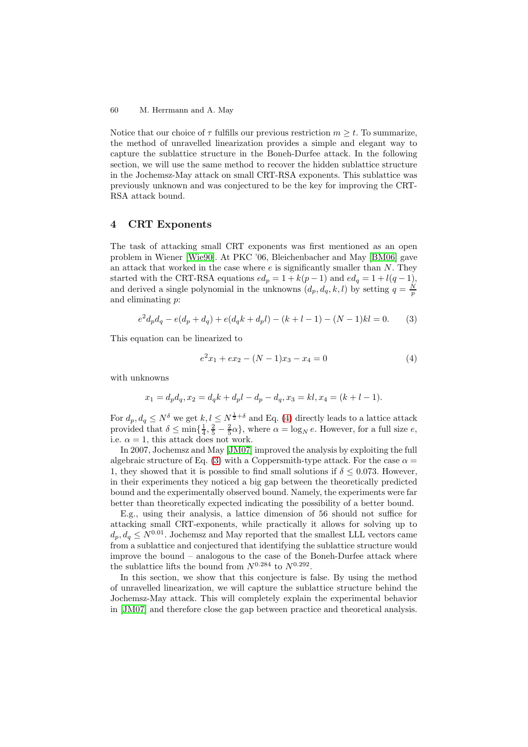Notice that our choice of  $\tau$  fulfills our previous restriction  $m \geq t$ . To summarize, the method of unravelled linearization provides a simple and elegant way to capture the sublattice structure in the Boneh-Durfee attack. In the following section, we will use the same method to recover the hidden sublattice structure in the Jochemsz-May attack on small CRT-RSA exponents. This sublattice was previously unknown and was conjectured to be the key for improving the CRT-RSA attack bound.

## **4 CRT Exponents**

<span id="page-7-2"></span>The task of attacking small CRT exponents was first mentioned as an open problem in Wiener [Wie90]. At PKC '06, Bleichenbacher and May [BM06] gave an attack that worked in the case where  $e$  is significantly smaller than  $N$ . They started with the CRT-RSA equations  $ed_p = 1 + k(p - 1)$  and  $ed_q = 1 + l(q - 1)$ , and derived a single polynomial in the unknowns  $(d_p, d_q, k, l)$  by setting  $q = \frac{N}{p}$ and eliminating p:

$$
e2dpdq - e(dp + dq) + e(dqk + dpl) - (k + l - 1) - (N - 1)kl = 0.
$$
 (3)

This equation can be linearized to

<span id="page-7-1"></span><span id="page-7-0"></span>
$$
e2x1 + ex2 - (N - 1)x3 - x4 = 0
$$
 (4)

with unknowns

$$
x_1 = d_p d_q, x_2 = d_q k + d_p l - d_p - d_q, x_3 = kl, x_4 = (k + l - 1).
$$

For  $d_p, d_q \leq N^{\delta}$  we get  $k, l \leq N^{\frac{1}{2}+\delta}$  and Eq. (4) directly leads to a lattice attack provided that  $\delta \le \min\{\frac{1}{4}, \frac{2}{5} - \frac{2}{5}\alpha\}$ , where  $\alpha = \log_N e$ . However, for a full size  $e$ , i.e.  $\alpha = 1$ , this attack does not work.

In 2007, Jochemsz and May [JM07] improved the analysis by exploiting the full algebraic structure of Eq. (3) with a Coppers[m](#page-7-0)ith-type attack. For the case  $\alpha =$ 1, they showed that it is possible to find small solutions if  $\delta \leq 0.073$ . However, in their experiments they noticed a big gap between the theoretically predicted bound and the experimentally [observ](#page-13-3)ed bound. Namely, the experiments were far better than theoretically e[xp](#page-7-1)ected indicating the possibility of a better bound.

E.g., using their analysis, a lattice dimension of 56 should not suffice for attacking small CRT-exponents, while practically it allows for solving up to  $d_p, d_q \leq N^{0.01}$ . Jochemsz and May reported that the smallest LLL vectors came from a sublattice and conjectured that identifying the sublattice structure would improve the bound – analogous to the case of the Boneh-Durfee attack where the sublattice lifts the bound from  $N^{0.284}$  to  $N^{0.292}$ .

In this section, we show that this conjecture is false. By using the method of unravelled linearization, we will capture the sublattice structure behind the Jochemsz-May attack. This will completely explain the experimental behavior in [JM07] and therefore close the gap between practice and theoretical analysis.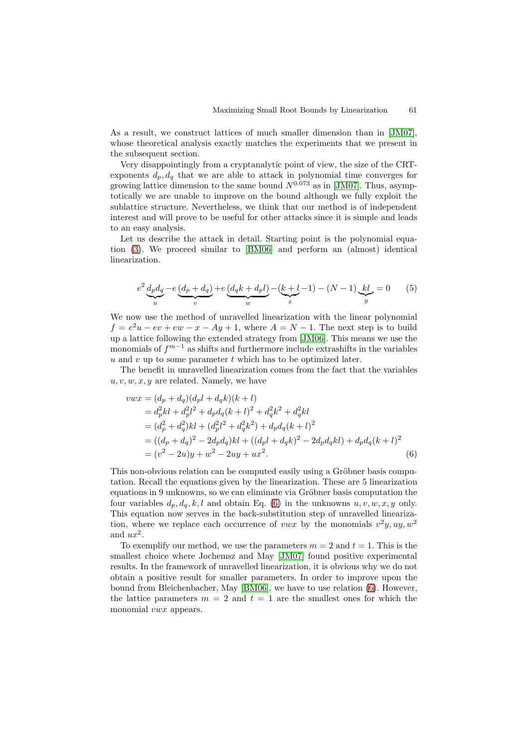As a result, we construct lattices of much smaller dimension than in [JM07], whose theoretical analysis exactly matches the experiments that we present in the subsequent section.

Very disappointingly from a cryptanalytic point of view, the size of the CRTexponents  $d_p, d_q$  that we are able to attack in polynomial time conve[rges fo](#page-13-3)r growing lattice dimension to the same bound  $N^{0.073}$  as in [JM07]. Thus, asymptotically we are unable to improve on the bound although we fully exploit the sublattice structure. Nevertheless, we think that our method is of independent interest and will prove to be useful for other attacks since it is simple and leads to an easy analysis.

Let us describe the attack in detail. Starting point is the polynomial equation (3). We proceed similar to [BM06] and perform an (almost) identical linearization.

$$
e^{2} \underbrace{d_{p} d_{q}}_{u} - e \underbrace{(d_{p} + d_{q})}_{v} + e \underbrace{(d_{q} k + d_{p} l)}_{w} - (\underbrace{k + l}_{x} - 1) - (N - 1) \underbrace{kl}_{y} = 0
$$
 (5)

We now use the method of unravelled linearization with the linear polynomial  $f = e^2u - ev + ew - x - Ay + 1$ , where  $A = N - 1$ . The next step is to build up a lattice following the extended strategy from [JM06]. This means we use the monomials of  $f^{m-1}$  as shifts and furthermore include extrashifts in the variables u and v up to some parameter t which has to be optimized later.

The benefit in unravelled linearization comes from the fact that the variables  $u, v, w, x, y$  are related. Namely, we have

$$
vwx = (d_p + d_q)(d_p l + d_q k)(k + l)
$$
  
=  $d_p^2 kl + d_p^2 l^2 + d_p d_q (k + l)^2 + d_q^2 k^2 + d_q^2 kl$   
=  $(d_p^2 + d_q^2)kl + (d_p^2 l^2 + d_q^2 k^2) + d_p d_q (k + l)^2$   
=  $((d_p + d_q)^2 - 2d_p d_q)kl + ((d_p l + d_q k)^2 - 2d_p d_q kl) + d_p d_q (k + l)^2$   
=  $(v^2 - 2u)y + w^2 - 2uy + ux^2$ . (6)

<span id="page-8-0"></span>This non-obvious relation can be computed easily using a Gröbner basis computation. Recall the equations given by the linearization. These are 5 linearization equations in 9 unknowns, so we can eliminate via Gröbner basis computation the four variables  $d_p, d_q, k, l$  and obtain Eq. (6) in the unknowns  $u, v, w, x, y$  only. This equation now serves in the back-substitution step of unravelled linearization, where we replace each occurrence of vwx by the monomials  $v^2y$ ,  $uy$ ,  $w^2$ and  $ux^2$ .

To exemplify our method, we use the p[ara](#page-8-0)meters  $m = 2$  and  $t = 1$ . This is the smallest choice where Jochemsz and May [JM07] found positive experimental results. In the framework of unravelled linearization, it is obvious why we do not obtain a positive result for smaller parameters. In order to improve upon the bound from Bleichenbacher, May [BM06], we have to use relation (6). However, the lattice parameters  $m = 2$  and  $t = 1$  [are the](#page-13-3) smallest ones for which the monomial *vwx* appears.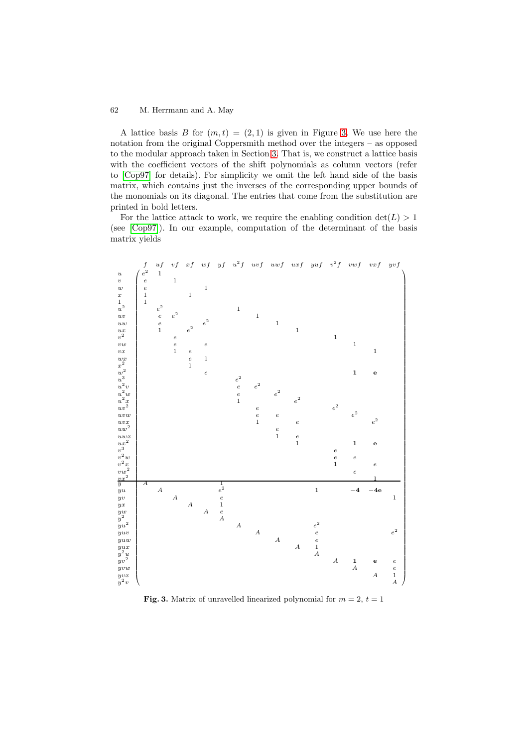A lattice basis B for  $(m, t) = (2, 1)$  is given in Figure 3. We use here the notation from the original Coppersmith method over the integers – as opposed to the modular approach taken in Section 3. That is, we construct a lattice basis with the coefficient vectors of the shift polynomials as column vectors (refer to [Cop97] for details). For simplicity we omit the left ha[nd](#page-9-0) side of the basis matrix, which contains just the inverses of the corresponding upper bounds of the monomials on its diagonal. The entri[es](#page-3-0) that come from the substitution are printed in bold letters.

[For the](#page-13-5) lattice attack to work, we require the enabling condition  $det(L) > 1$ (see [Cop97]). In our example, computation of the determinant of the basis matrix yields



<span id="page-9-0"></span>**Fig. 3.** Matrix of unravelled linearized polynomial for  $m = 2$ ,  $t = 1$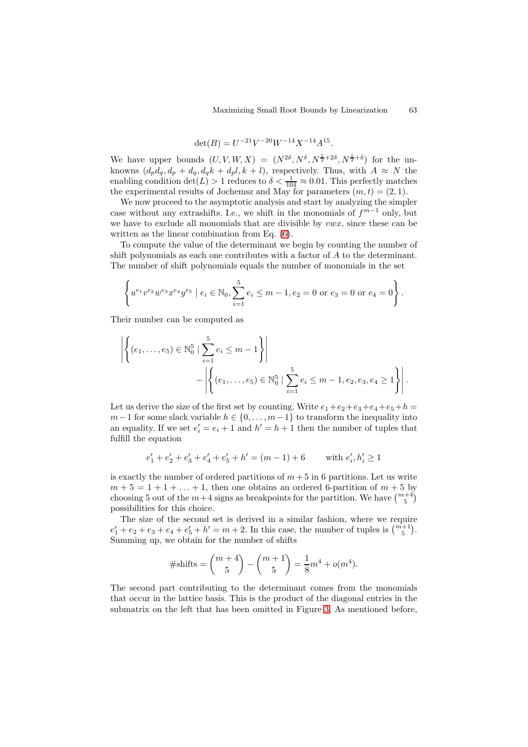$$
\det(B) = U^{-21} V^{-20} W^{-14} X^{-14} A^{15}.
$$

We have upper bounds  $(U, V, W, X) = (N^{2\delta}, N^{\delta}, N^{\frac{1}{2}+2\delta}, N^{\frac{1}{2}+\delta})$  for the unknowns  $(d_p\ddot{d}_q, d_p + d_q, d_q\ddot{k} + d_p\dot{l}, k + l)$ , respectively. Thus, with  $A \approx N$  the enabling condition  $\det(L) > 1$  reduces to  $\delta < \frac{1}{104} \approx 0.01$ . This perfectly matches the experimental results of Jochemsz and May for parameters  $(m, t) = (2, 1)$ .

We now proceed to the asymptotic analysis and start by analyzing the simpler case without any extrashifts. I.e., we shift in the monomials of  $f^{m-1}$  only, but we have to exclude all monomials that are divisible by  $vwx$ , since these can be written as the linear combination from Eq. (6).

To compute the value of the determinant we begin by counting the number of shift polynomials as each one contributes with a factor of A to the determinant. The number of shift polynomials equals the number of monomials in the set

$$
\left\{ u^{e_1}v^{e_2}w^{e_3}x^{e_4}y^{e_5} \mid e_i \in \mathbb{N}_0, \sum_{i=1}^5 e_i \le m-1, e_2 = 0 \text{ or } e_3 = 0 \text{ or } e_4 = 0 \right\}.
$$

Their number can be computed as

$$
\left| \left\{ (e_1, \ldots, e_5) \in \mathbb{N}_0^5 \mid \sum_{i=1}^5 e_i \le m - 1 \right\} \right|
$$
  
 
$$
- \left| \left\{ (e_1, \ldots, e_5) \in \mathbb{N}_0^5 \mid \sum_{i=1}^5 e_i \le m - 1, e_2, e_3, e_4 \ge 1 \right\} \right|.
$$

Let us derive the size of the first set by counting. Write  $e_1+e_2+e_3+e_4+e_5+h$  $m-1$  for some slack variable  $h \in \{0, \ldots, m-1\}$  to transform the inequality into an equality. If we set  $e'_i = e_i + 1$  and  $h' = h + 1$  then the number of tuples that fulfill the equation

$$
e'_1 + e'_2 + e'_3 + e'_4 + e'_5 + h' = (m - 1) + 6 \quad \text{with } e'_i, h'_i \ge 1
$$

is exactly the number of ordered partitions of  $m + 5$  in 6 partitions. Let us write  $m + 5 = 1 + 1 + \ldots + 1$ , then one obtains an ordered 6-partition of  $m + 5$  by choosing 5 out of the  $m+4$  signs as breakpoints for the partition. We have  $\binom{m+4}{5}$ possibilities for this choice.

The size of the second set is derived in a similar fashion, where we require  $e'_1 + e_2 + e_3 + e_4 + e'_5 + h' = m + 2$ . In this case, the number of tuples is  $\binom{m+1}{5}$ . Summing up, we obtain for the number of shifts

#shifts = 
$$
\binom{m+4}{5}
$$
 -  $\binom{m+1}{5}$  =  $\frac{1}{8}$ m<sup>4</sup> + o(m<sup>4</sup>).

The second part contributing to the determinant comes from the monomials that occur in the lattice basis. This is the product of the diagonal entries in the submatrix on the left that has been omitted in Figure 3. As mentioned before,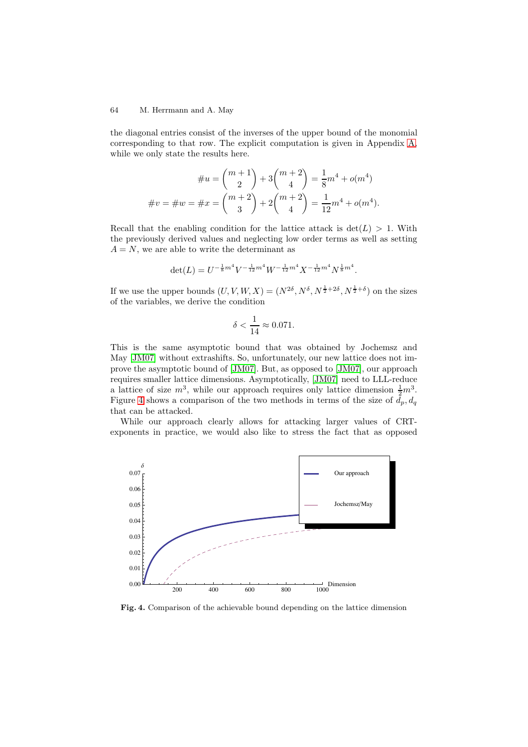the diagonal entries consist of the inverses of the upper bound of the monomial corresponding to that row. The explicit computation is given in Appendix A, while we only state the results here.

$$
\#u = \binom{m+1}{2} + 3\binom{m+2}{4} = \frac{1}{8}m^4 + o(m^4)
$$

$$
\#v = \#w = \#x = \binom{m+2}{3} + 2\binom{m+2}{4} = \frac{1}{12}m^4 + o(m^4).
$$

Recall that the enabling condition for the lattice attack is  $det(L) > 1$ . With the previously derived values and neglecting low order terms as well as setting  $A = N$ , we are able to write the determinant as

$$
\det(L) = U^{-\frac{1}{8}m^4}V^{-\frac{1}{12}m^4}W^{-\frac{1}{12}m^4}X^{-\frac{1}{12}m^4}N^{\frac{1}{8}m^4}.
$$

If we use the upper bounds  $(U, V, W, X) = (N^{2\delta}, N^{\delta}, N^{\frac{1}{2}+2\delta}, N^{\frac{1}{2}+\delta})$  on the sizes of the variables, we derive the condition

$$
\delta < \frac{1}{14} \approx 0.071.
$$

This is the same asymptotic bound that was obtained by Jochemsz and May [JM07] without extrashifts. So, unfortunately, our new lattice does not improve the asymptotic bound of [JM07]. But, as opposed to [JM07], our approach requires smaller lattice dimensions. Asymptotically, [JM07] need to LLL-reduce a lattice of size  $m^3$ , while our approach requires only lattice dimension  $\frac{1}{2}m^3$ . Figu[re 4 sh](#page-13-3)ows a comparison of the two methods in terms of the size of  $d_p, d_q$ that can be attacked.

While our approach clearly allows for attacki[ng larg](#page-13-3)er values of CRTexponents in practice, we would also like to stress the fact that as opposed



**Fig. 4.** Comparison of the achievable bound depending on the lattice dimension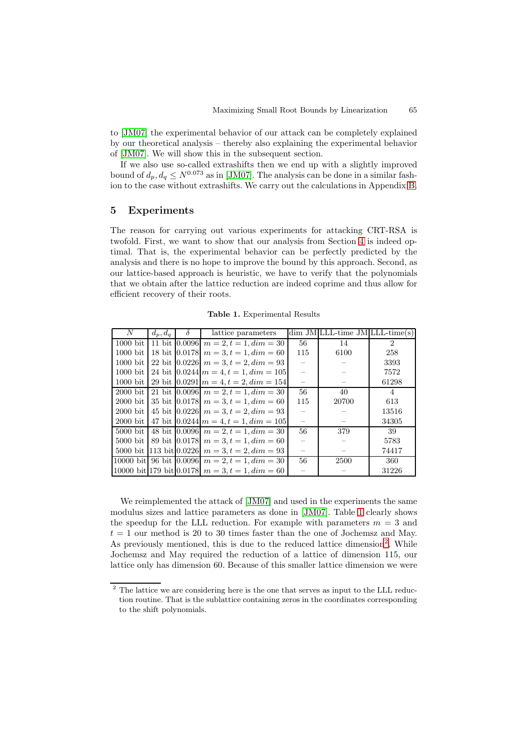to [JM07] the experimental behavior of our attack can be completely explained by our theoretical analysis – thereby also explaining the experimental behavior of [JM07]. We will show this in the subsequent section.

If we also use so-called extrashifts then we end up with a slightly improved bo[und of](#page-13-3)  $d_p, d_q \leq N^{0.073}$  as in [JM07]. The analysis can be done in a similar fashion to the case without extrashifts. We carry out the calculations in Appendix B.

## **5 Experiments**

The reason for carrying out various experiments for attacking CRT-RSA [is](#page-15-0) twofold. First, we want to show that our analysis from Section 4 is indeed optimal. That is, the experimental behavior can be perfectly predicted by the analysis and there is no hope to improve the bound by this approach. Second, as our lattice-based approach is heuristic, we have to verify that the polynomials that we obtain after the lattice reduction are indeed coprime an[d t](#page-7-2)hus allow for efficient recovery of their roots.

| N          | $d_p, d_q$ | $\delta$      | lattice parameters                                  |                          | $\dim$ JM LLL-time JM LLL-time(s) |                             |
|------------|------------|---------------|-----------------------------------------------------|--------------------------|-----------------------------------|-----------------------------|
| $1000$ bit |            | 11 bit 0.0096 | $m = 2, t = 1, dim = 30$                            | 56                       | 14                                | $\mathcal{D}_{\mathcal{L}}$ |
| $1000$ bit |            |               | 18 bit $ 0.0178 $ $m = 3, t = 1, dim = 60$          | 115                      | 6100                              | 258                         |
| $1000$ bit |            |               | 22 bit $ 0.0226 $ $m = 3, t = 2, dim = 93$          |                          |                                   | 3393                        |
| $1000$ bit |            |               | 24 bit $ 0.0244  m = 4, t = 1, dim = 105 $          | $\overline{\phantom{0}}$ |                                   | 7572                        |
| $1000$ bit |            |               | 29 bit $[0.0291]$ $m = 4$ , $t = 2$ , $dim = 154$   |                          |                                   | 61298                       |
| $2000$ bit |            |               | 21 bit $ 0.0096 $ $m = 2, t = 1, dim = 30$          | 56                       | 40                                | 4                           |
| $2000$ bit |            |               | 35 bit $ 0.0178 $ $m = 3, t = 1, dim = 60$          | 115                      | 20700                             | 613                         |
| $2000$ bit |            |               | 45 bit $ 0.0226 $ $m = 3, t = 2, dim = 93$          | $\qquad \qquad -$        |                                   | 13516                       |
| $2000$ bit |            |               | 47 bit $0.0244 \mid m = 4, t = 1, dim = 105$        |                          |                                   | 34305                       |
| $5000$ bit |            |               | 48 bit $ 0.0096 $ $m = 2, t = 1, dim = 30$          | 56                       | 379                               | 39                          |
| $5000$ bit |            |               | 89 bit $ 0.0178 $ $m = 3, t = 1, dim = 60$          |                          |                                   | 5783                        |
|            |            |               | 5000 bit [113 bit [0.0226] $m = 3, t = 2, dim = 93$ |                          |                                   | 74417                       |
|            |            |               | 10000 bit 96 bit 0.0096 $m = 2, t = 1, dim = 30$    | 56                       | 2500                              | 360                         |
|            |            |               | 10000 bit 179 bit 0.0178 $m = 3, t = 1, dim = 60$   |                          |                                   | 31226                       |

<span id="page-12-0"></span>**Table 1.** Experimental Results

We reimplemented the attack of [JM07] and used in the experiments the same modulus sizes and lattice parameters as done in [JM07]. Table 1 clearly shows the speedup for the LLL reduction. For example with parameters  $m = 3$  and  $t = 1$  our method is 20 to 30 times faster than the one of Jochemsz and May. As previously mentioned, this is d[ue to t](#page-13-3)he reduced lattice dimension<sup>2</sup>. While Jochemsz and May required the reduction of a [lattice](#page-13-3) of dim[en](#page-12-0)sion 115, our lattice only has dimension 60. Because of this smaller lattice dimension we were

<span id="page-12-1"></span><sup>&</sup>lt;sup>2</sup> The lattice we are considering here is the one that serves as input to the [LL](#page-12-1)L reduction routine. That is the sublattice containing zeros in the coordinates corresponding to the shift polynomials.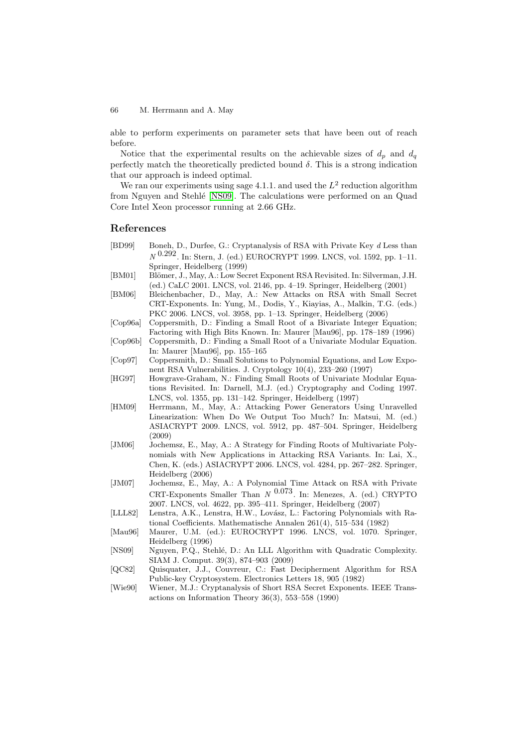able to perform experiments on parameter sets that have been out of reach before.

Notice that the experimental results on the achievable sizes of  $d_p$  and  $d_q$ perfectly match the theoretically predicted bound  $\delta$ . This is a strong indication that our approach is indeed optimal.

We ran our experiments using sage 4.1.1. and used the  $L^2$  reduction algorithm from Nguyen and Stehlé [NS09]. The calculations were performed on an Quad Core Intel Xeon processor running at 2.66 GHz.

#### **References**

- [BD99] Boneh, D., Durfe[e,](#page-13-11) [G.:](#page-13-11) [C](#page-13-11)ryptanalysis of RSA with Private Key *d* Less than *N* 0.292. In: Stern, J. (ed.) EUROCRYPT 1999. LNCS, vol. 1592, pp. 1–11. Springer, Heidelberg (1999)
- [BM01] Blömer, J., May, A.: Low Secret Exponent RSA Revisited. In: Silverman, J.H. (ed.) CaLC 2001. LNCS, vol. 2146, pp. 4–19. Springer, Heidelberg (2001)
- <span id="page-13-1"></span>[BM06] Bleichenbacher, D., May, A.: New Attacks on RSA with Small Secret CRT-Exponents. In: Yung, M., Dodis, Y., Kiayias, A., Malkin, T.G. (eds.) PKC 2006. LNCS, vol. 3958, pp. 1–13. Springer, Heidelberg (2006)
- <span id="page-13-9"></span>[Cop96a] Coppersmith, D.: Finding a Small Root of a Bivariate Integer Equation; Factoring with High Bits Known. In: Maurer [Mau96], pp. 178–189 (1996)
- <span id="page-13-10"></span>[Cop96b] Coppersmith, D.: Finding a Small Root of a Univariate Modular Equation. In: Maurer [Mau96], pp. 155–165
- <span id="page-13-7"></span>[Cop97] Coppersmith, D.: Small Solutions to Polynomial Equations, and Low Exponent RSA Vulnerabilities. J. Cryptology 10(4), 233–260 (1997)
- <span id="page-13-8"></span>[HG97] Howgrave-Graham, N.: Finding Small Roots of Univariate Modular Equations Revisited. In: Darnell, M.J. (ed.) Cryptography and Coding 1997. LNCS, vol. 1355, pp. 131–142. Springer, Heidelberg (1997)
- <span id="page-13-5"></span>[HM09] Herrmann, M., May, A.: Attacking Power Generators Using Unravelled Linearization: When Do We Output Too Much? In: Matsui, M. (ed.) ASIACRYPT 2009. LNCS, vol. 5912, pp. 487–504. Springer, Heidelberg (2009)
- <span id="page-13-4"></span>[JM06] Jochemsz, E., May, A.: A Strategy for Finding Roots of Multivariate Polynomials with New Applications in Attacking RSA Variants. In: Lai, X., Chen, K. (eds.) ASIACRYPT 2006. LNCS, vol. 4284, pp. 267–282. Springer, Heidelberg (2006)
- [JM07] Jochemsz, E., May, A.: A Polynomial Time Attack on RSA with Private CRT-Exponents Smaller Than *N* 0.073. In: Menezes, A. (ed.) CRYPTO 2007. LNCS, vol. 4622, pp. 395–411. Springer, Heidelberg (2007)
- [LLL82] Lenstra, A.K., Lenstra, H.W., Lovász, L.: Factoring Polynomials with Rational Coefficients. Mathematische Annalen 261(4), 515–534 (1982)
- <span id="page-13-3"></span>[Mau96] Maurer, U.M. (ed.): EUROCRYPT 1996. LNCS, vol. 1070. Springer, Heidelberg (1996)
- <span id="page-13-6"></span>[NS09] Nguyen, P.Q., Stehlé, D.: An LLL Algorithm with Quadratic Complexity. SIAM J. Comput. 39(3), 874–903 (2009)
- [QC82] Quisquater, J.J., Couvreur, C.: Fast Decipherment Algorithm for RSA Public-key Cryptosystem. Electronics Letters 18, 905 (1982)
- <span id="page-13-11"></span><span id="page-13-2"></span><span id="page-13-0"></span>[Wie90] Wiener, M.J.: Cryptanalysis of Short RSA Secret Exponents. IEEE Transactions on Information Theory 36(3), 553–558 (1990)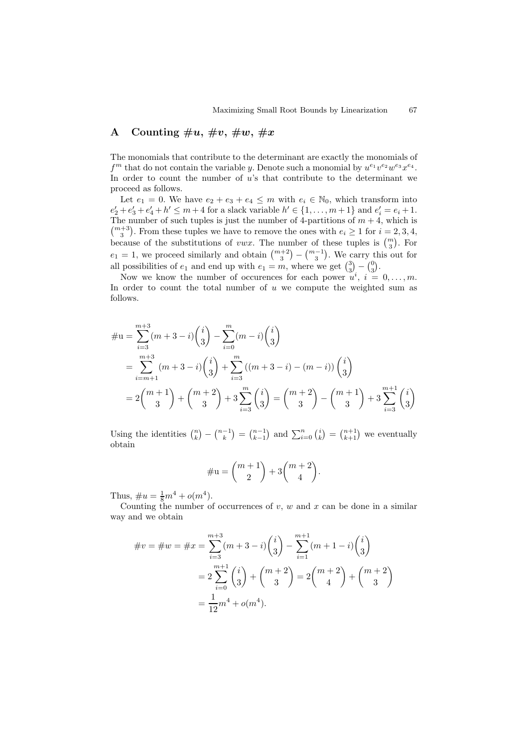## A Counting  $\#u, \, \#v, \, \#w, \, \#x$

The monomials that contribute to the determinant are exactly the monomials of  $f<sup>m</sup>$  that do not contain the variable y. Denote such a monomial by  $u<sup>e<sub>1</sub></sup> v<sup>e<sub>2</sub></sup> w<sup>e<sub>3</sub></sup> x<sup>e<sub>4</sub></sup>$ . In order to count the number of u's that contribute to the determinant we proceed as follows.

Let  $e_1 = 0$ . We have  $e_2 + e_3 + e_4 \leq m$  with  $e_i \in \mathbb{N}_0$ , which transform into  $e'_2 + e'_3 + e'_4 + h' \le m + 4$  for a slack variable  $h' \in \{1, ..., m + 1\}$  and  $e'_i = e_i + 1$ . The number of such tuples is just the number of 4-partitions of  $m + 4$ , which is  $\binom{m+3}{3}$ . From these tuples we have to remove the ones with  $e_i \ge 1$  for  $i = 2, 3, 4$ , because of the substitutions of *vwx*. The number of these tuples is  $\binom{m}{3}$ . For  $e_1 = 1$ , we proceed similarly and obtain  $\binom{m+2}{3} - \binom{m-1}{3}$ . We carry this out for all possibilities of  $e_1$  and end up with  $e_1 = m$ , where we get  $\binom{3}{3} - \binom{0}{3}$ .

Now we know the number of occurences for each power  $u^i$ ,  $i = 0, \ldots, m$ . In order to count the total number of  $u$  we compute the weighted sum as follows.

$$
\# \mathbf{u} = \sum_{i=3}^{m+3} (m+3-i) \binom{i}{3} - \sum_{i=0}^{m} (m-i) \binom{i}{3}
$$
  
= 
$$
\sum_{i=m+1}^{m+3} (m+3-i) \binom{i}{3} + \sum_{i=3}^{m} ((m+3-i) - (m-i)) \binom{i}{3}
$$
  
= 
$$
2 \binom{m+1}{3} + \binom{m+2}{3} + 3 \sum_{i=3}^{m} \binom{i}{3} = \binom{m+2}{3} - \binom{m+1}{3} + 3 \sum_{i=3}^{m+1} \binom{i}{3}
$$

Using the identities  $\binom{n}{k} - \binom{n-1}{k} = \binom{n-1}{k-1}$  and  $\sum_{i=0}^{n} \binom{i}{k} = \binom{n+1}{k+1}$  we eventually obtain

$$
\#u = \binom{m+1}{2} + 3\binom{m+2}{4}.
$$

Thus,  $\#u = \frac{1}{8}m^4 + o(m^4)$ .

Counting the number of occurrences of  $v, w$  and  $x$  can be done in a similar way and we obtain

$$
\#v = \#w = \#x = \sum_{i=3}^{m+3} (m+3-i) \binom{i}{3} - \sum_{i=1}^{m+1} (m+1-i) \binom{i}{3}
$$

$$
= 2 \sum_{i=0}^{m+1} \binom{i}{3} + \binom{m+2}{3} = 2 \binom{m+2}{4} + \binom{m+2}{3}
$$

$$
= \frac{1}{12} m^4 + o(m^4).
$$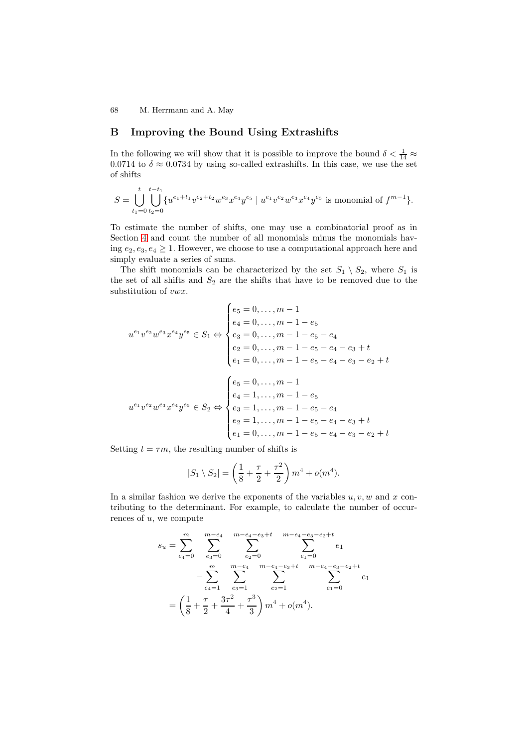## **B Improving the Bound Using Extrashifts**

<span id="page-15-0"></span>In the following we will show that it is possible to improve the bound  $\delta < \frac{1}{14} \approx$ 0.0714 to  $\delta \approx 0.0734$  by using so-called extrashifts. In this case, we use the set of shifts

$$
S = \bigcup_{t_1=0}^t \bigcup_{t_2=0}^{t-t_{1}} \{u^{e_1+t_1}v^{e_2+t_2}w^{e_3}x^{e_4}y^{e_5} \mid u^{e_1}v^{e_2}w^{e_3}x^{e_4}y^{e_5} \text{ is monomial of } f^{m-1} \}.
$$

To estimate the number of shifts, one may use a combinatorial proof as in Section 4 and count the number of all monomials minus the monomials having  $e_2, e_3, e_4 \geq 1$ . However, we choose to use a computational approach here and simply evaluate a series of sums.

The shift monomials can be characterized by the set  $S_1 \setminus S_2$ , where  $S_1$  is the set [of](#page-7-2) all shifts and  $S_2$  are the shifts that have to be removed due to the substitution of *vwx*.

$$
u^{e_1}v^{e_2}w^{e_3}x^{e_4}y^{e_5} \in S_1 \Leftrightarrow \begin{cases} e_5 = 0, \dots, m-1\\ e_4 = 0, \dots, m-1-e_5\\ e_3 = 0, \dots, m-1-e_5-e_4\\ e_2 = 0, \dots, m-1-e_5-e_4-e_3+t\\ e_1 = 0, \dots, m-1-e_5-e_4-e_3-e_2+t \end{cases}
$$

$$
u^{e_1}v^{e_2}w^{e_3}x^{e_4}y^{e_5} \in S_2 \Leftrightarrow \begin{cases} e_5 = 0, \dots, m-1\\ e_4 = 1, \dots, m-1-e_5\\ e_3 = 1, \dots, m-1-e_5-e_4\\ e_2 = 1, \dots, m-1-e_5-e_4-e_3+t\\ e_1 = 0, \dots, m-1-e_5-e_4-e_3-e_2+t \end{cases}
$$

Setting  $t = \tau m$ , the resulting number of shifts is

$$
|S_1 \setminus S_2| = \left(\frac{1}{8} + \frac{\tau}{2} + \frac{\tau^2}{2}\right)m^4 + o(m^4).
$$

In a similar fashion we derive the exponents of the variables  $u, v, w$  and x contributing to the determinant. For example, to calculate the number of occurrences of  $u$ , we compute

<sup>s</sup><sup>u</sup> <sup>=</sup> <sup>m</sup> e4=0 m−e4 e3=0 <sup>m</sup>−<sup>e</sup> <sup>4</sup>−e3+<sup>t</sup> e2=0 <sup>m</sup>−e4<sup>−</sup> <sup>e</sup>3−e2+<sup>t</sup> e1=0 e1 <sup>−</sup> <sup>m</sup> e4=1 m−e4 e3=1 <sup>m</sup>−<sup>e</sup> <sup>4</sup>−e3+<sup>t</sup> e2=1 <sup>m</sup>−e4<sup>−</sup> <sup>e</sup>3−e2+<sup>t</sup> e1=0 e1 = 1 <sup>8</sup> <sup>+</sup> <sup>τ</sup> 2 + 3τ <sup>2</sup> <sup>4</sup> <sup>+</sup> <sup>τ</sup> <sup>3</sup> 3 m<sup>4</sup> + o(m<sup>4</sup>).